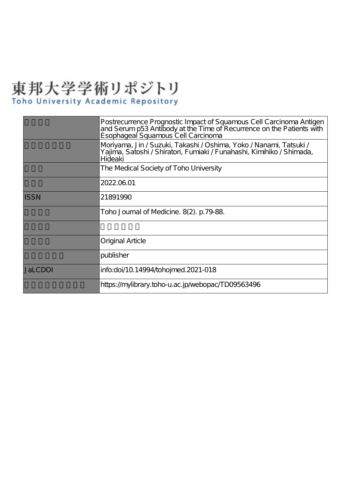# 東邦大学学術リポジトリ

|             | Postrecurrence Prognostic Impact of Squamous Cell Carcinoma Antigen<br>and Serum p53 Antibody at the Time of Recurrence on the Patients with Esophageal Squamous Cell Carcinoma |
|-------------|---------------------------------------------------------------------------------------------------------------------------------------------------------------------------------|
|             | Moriyama, Jin / Suzuki, Takashi / Oshima, Yoko / Nanami, Tatsuki /<br>Yajima, Satoshi /Shiratori, Fumiaki /Funahashi, Kimihiko /Shimada,<br>Hideaki                             |
|             | The Medical Society of Toho University                                                                                                                                          |
|             | 2022.06.01                                                                                                                                                                      |
| <b>ISSN</b> | 21891990                                                                                                                                                                        |
|             | Toho Journal of Medicine. 8(2). p.79-88.                                                                                                                                        |
|             |                                                                                                                                                                                 |
|             | Original Article                                                                                                                                                                |
|             | publisher                                                                                                                                                                       |
| JaLCDOI     | info:doi/10.14994/tohojmed.2021-018                                                                                                                                             |
|             | https://mylibrary.toho-u.ac.jp/webopac/TD09563496                                                                                                                               |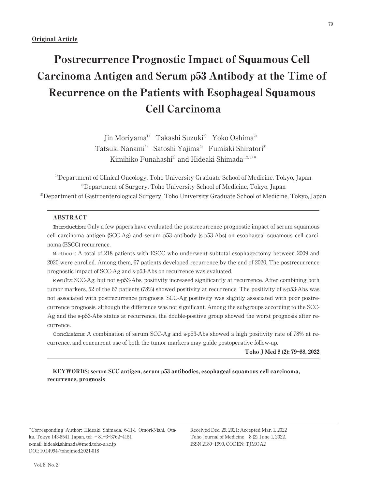## Postrecurrence Prognostic Impact of Squamous Cell Carcinoma Antigen and Serum p53 Antibody at the Time of Recurrence on the Patients with Esophageal Squamous Cell Carcinoma

Jin Moriyama<sup>1)</sup> Takashi Suzuki<sup>2)</sup> Yoko Oshima<sup>2)</sup> Tatsuki Nanami<sup>2)</sup> Satoshi Yajima<sup>2</sup> Fumiaki Shiratori<sup>2</sup> Kimihiko Funahashi<sup>2)</sup> and Hideaki Shimada<sup>1, 2, 3)\*</sup>

<sup>1)</sup>Department of Clinical Oncology, Toho University Graduate School of Medicine, Tokyo, Japan 2) Department of Surgery, Toho University School of Medicine, Tokyo, Japan 3) Department of Gastroenterological Surgery, Toho University Graduate School of Medicine, Tokyo, Japan

#### ABSTRACT

Introduction: Only a few papers have evaluated the postrecurrence prognostic impact of serum squamous cell carcinoma antigen (SCC-Ag) and serum p53 antibody (s-p53-Abs) on esophageal squamous cell carcinoma (ESCC) recurrence.

M ethods: A total of 218 patients with ESCC who underwent subtotal esophagectomy between 2009 and 2020 were enrolled. Among them, 67 patients developed recurrence by the end of 2020. The postrecurrence prognostic impact of SCC-Ag and s-p53-Abs on recurrence was evaluated.

R esults: SCC-Ag, but not s-p53-Abs, positivity increased significantly at recurrence. After combining both tumor markers, 52 of the 67 patients (78%) showed positivity at recurrence. The positivity of s-p53-Abs was not associated with postrecurrence prognosis. SCC-Ag positivity was slightly associated with poor postrecurrence prognosis, although the difference was not significant. Among the subgroups according to the SCC-Ag and the s-p53-Abs status at recurrence, the double-positive group showed the worst prognosis after recurrence.

Conclusions: A combination of serum SCC-Ag and s-p53-Abs showed a high positivity rate of 78% at recurrence, and concurrent use of both the tumor markers may guide postoperative follow-up.

Toho J Med 8 (2): 79―88, 2022

KEYWORDS: serum SCC antigen, serum p53 antibodies, esophageal squamous cell carcinoma, recurrence, prognosis

\*Corresponding Author: Hideaki Shimada, 6-11-1 Omori-Nishi, Otaku, Tokyo 143-8541, Japan, tel: +81―3―3762―4151 e-mail: hideaki.shimada@med.toho-u.ac.jp DOI: 10.14994/tohojmed.2021-018

Received Dec. 29, 2021: Accepted Mar. 1, 2022 Toho Journal of Medicine 8 (2), June 1, 2022. ISSN 2189―1990, CODEN: TJMOA2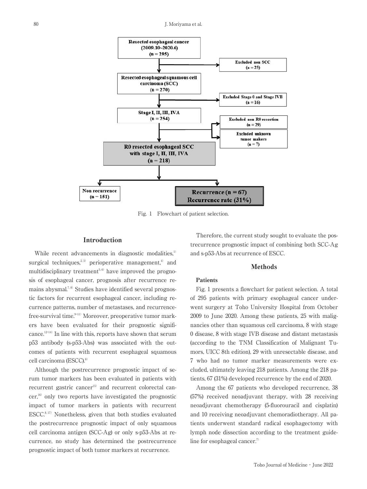

Fig. 1 Flowchart of patient selection.

#### Introduction

While recent advancements in diagnostic modalities,<sup>1)</sup> surgical techniques,<sup>2,3)</sup> perioperative management,<sup>4)</sup> and multidisciplinary treatment<sup> $5,6)$ </sup> have improved the prognosis of esophageal cancer, prognosis after recurrence remains abysmal.<sup>7,8)</sup> Studies have identified several prognostic factors for recurrent esophageal cancer, including recurrence patterns, number of metastases, and recurrencefree-survival time.<sup>9-11)</sup> Moreover, preoperative tumor markers have been evaluated for their prognostic significance.<sup>12-14)</sup> In line with this, reports have shown that serum p53 antibody (s-p53-Abs) was associated with the outcomes of patients with recurrent esophageal squamous cell carcinoma (ESCC).<sup>8)</sup>

Although the postrecurrence prognostic impact of serum tumor markers has been evaluated in patients with recurrent gastric cancer<sup>15)</sup> and recurrent colorectal can $c$ er,<sup>16)</sup> only two reports have investigated the prognostic impact of tumor markers in patients with recurrent ESCC. $8,17$ ) Nonetheless, given that both studies evaluated the postrecurrence prognostic impact of only squamous cell carcinoma antigen (SCC-Ag) or only s-p53-Abs at recurrence, no study has determined the postrecurrence prognostic impact of both tumor markers at recurrence.

Therefore, the current study sought to evaluate the postrecurrence prognostic impact of combining both SCC-Ag and s-p53-Abs at recurrence of ESCC.

#### Methods

#### Patients

Fig. 1 presents a flowchart for patient selection. A total of 295 patients with primary esophageal cancer underwent surgery at Toho University Hospital from October 2009 to June 2020. Among these patients, 25 with malignancies other than squamous cell carcinoma, 8 with stage 0 disease, 8 with stage IVB disease and distant metastasis (according to the TNM Classification of Malignant Tumors, UICC 8th edition), 29 with unresectable disease, and 7 who had no tumor marker measurements were excluded, ultimately leaving 218 patients. Among the 218 patients, 67 (31%) developed recurrence by the end of 2020.

Among the 67 patients who developed recurrence, 38 (57%) received neoadjuvant therapy, with 28 receiving neoadjuvant chemotherapy (5-fluorouracil and cisplatin) and 10 receiving neoadjuvant chemoradiotherapy. All patients underwent standard radical esophagectomy with lymph node dissection according to the treatment guideline for esophageal cancer.<sup>7)</sup>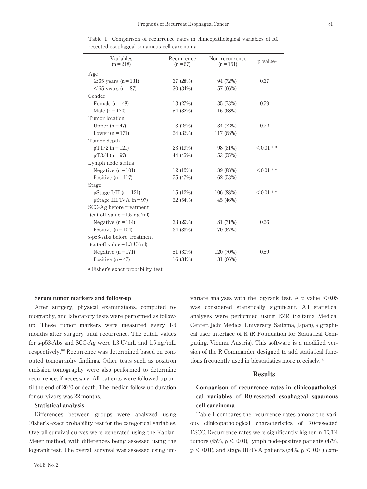| Variables<br>$(n = 218)$               | Recurrence<br>$(n = 67)$ | Non recurrence<br>$(n = 151)$ | p value <sup>a</sup> |
|----------------------------------------|--------------------------|-------------------------------|----------------------|
| Age                                    |                          |                               |                      |
| $\geq 65$ years (n = 131)              | 37 (28%)                 | 94 (72%)                      | 0.37                 |
| $\leq$ 65 years (n = 87)               | 30 (34%)                 | 57 (66%)                      |                      |
| Gender                                 |                          |                               |                      |
| Female $(n = 48)$                      | 13 (27%)                 | 35 (73%)                      | 0.59                 |
| Male $(n = 170)$                       | 54 (32%)                 | 116 (68%)                     |                      |
| Tumor location                         |                          |                               |                      |
| Upper $(n=47)$                         | 13 (28%)                 | 34 (72%)                      | 0.72                 |
| Lower $(n = 171)$                      | 54 (32%)                 | 117 (68%)                     |                      |
| Tumor depth                            |                          |                               |                      |
| $pT1/2$ (n = 121)                      | 23 (19%)                 | 98 (81%)                      | $< 0.01$ **          |
| $pT3/4$ (n = 97)                       | 44 (45%)                 | 53 (55%)                      |                      |
| Lymph node status                      |                          |                               |                      |
| Negative $(n = 101)$                   | 12 (12%)                 | 89 (88%)                      | $< 0.01$ **          |
| Positive $(n = 117)$                   | 55 (47%)                 | 62 (53%)                      |                      |
| Stage                                  |                          |                               |                      |
| pStage I/II ( $n = 121$ )              | 15 (12%)                 | 106 (88%)                     | $< 0.01$ **          |
| pStage III/IVA ( $n = 97$ )            | 52 (54%)                 | 45 (46%)                      |                      |
| SCC-Ag before treatment                |                          |                               |                      |
| (cut-off value = $1.5 \text{ ng/ml}$ ) |                          |                               |                      |
| Negative $(n = 114)$                   | 33 (29%)                 | 81 (71%)                      | 0.56                 |
| Positive $(n = 104)$                   | 34 (33%)                 | 70 (67%)                      |                      |
| s-p53-Abs before treatment             |                          |                               |                      |
| (cut-off value = $1.3$ U/ml)           |                          |                               |                      |
| Negative $(n = 171)$                   | 51 (30%)                 | 120 (70%)                     | 0.59                 |
| Positive $(n = 47)$                    | 16 (34%)                 | 31 (66%)                      |                      |

Table 1 Comparison of recurrence rates in clinicopathological variables of R0 resected esophageal squamous cell carcinoma

a Fisher's exact probability test

#### Serum tumor markers and follow-up

After surgery, physical examinations, computed tomography, and laboratory tests were performed as followup. These tumor markers were measured every 1-3 months after surgery until recurrence. The cutoff values for s-p53-Abs and SCC-Ag were 1.3 U/mL and 1.5 ng/mL, respectively.<sup>18)</sup> Recurrence was determined based on computed tomography findings. Other tests such as positron emission tomography were also performed to determine recurrence, if necessary. All patients were followed up until the end of 2020 or death. The median follow-up duration for survivors was 22 months.

#### Statistical analysis

Differences between groups were analyzed using Fisher's exact probability test for the categorical variables. Overall survival curves were generated using the Kaplan-Meier method, with differences being assessed using the log-rank test. The overall survival was assessed using uni-

Vol. 8 No. 2

variate analyses with the log-rank test. A p value  $\leq 0.05$ was considered statistically significant. All statistical analyses were performed using EZR (Saitama Medical Center, Jichi Medical University, Saitama, Japan), a graphical user interface of R (R Foundation for Statistical Computing, Vienna, Austria). This software is a modified version of the R Commander designed to add statistical functions frequently used in biostatistics more precisely.19)

#### Results

#### Comparison of recurrence rates in clinicopathological variables of R0-resected esophageal squamous cell carcinoma

Table 1 compares the recurrence rates among the various clinicopathological characteristics of R0-resected ESCC. Recurrence rates were significantly higher in T3T4 tumors (45%,  $p < 0.01$ ), lymph node-positive patients (47%,  $p \leq 0.01$ ), and stage III/IVA patients (54%,  $p \leq 0.01$ ) com-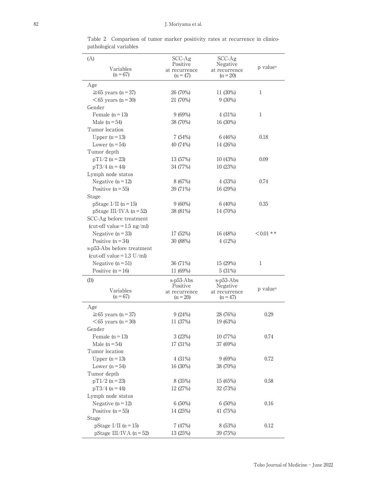Table 2 Comparison of tumor marker positivity rates at recurrence in clinicopathological variables

| (A)                           | $SCC-Ag$                    | $SCC-Ag$                    |                      |
|-------------------------------|-----------------------------|-----------------------------|----------------------|
| Variables                     | Positive<br>at recurrence   | Negative<br>at recurrence   | p value <sup>a</sup> |
| $(n = 67)$                    | $(n = 47)$                  | $(n = 20)$                  |                      |
| Age                           |                             |                             |                      |
| $\geq 65$ years (n = 37)      | 26 (70%)                    | 11 (30%)                    | 1                    |
| $<65$ years (n = 30)          | 21 (70%)                    | $9(30\%)$                   |                      |
| Gender                        |                             |                             |                      |
| Female $(n=13)$               | 9(69%)                      | 4(31%)                      | 1                    |
| Male $(n=54)$                 | 38 (70%)                    | 16 (30%)                    |                      |
| Tumor location                |                             |                             |                      |
|                               | 7(54%)                      | 6(46%)                      | 0.18                 |
| Upper $(n=13)$                |                             |                             |                      |
| Lower $(n = 54)$              | 40 (74%)                    | 14 (26%)                    |                      |
| Tumor depth                   |                             |                             |                      |
| $pT1/2$ (n = 23)              | 13 (57%)                    | 10 (43%)                    | 0.09                 |
| $pT3/4$ (n = 44)              | 34 (77%)                    | 10(23%)                     |                      |
| Lymph node status             |                             |                             |                      |
| Negative $(n=12)$             | 8 (67%)                     | 4(33%)                      | 0.74                 |
| Positive $(n = 55)$           | 39 (71%)                    | 16 (29%)                    |                      |
| Stage                         |                             |                             |                      |
| pStage I/II ( $n = 15$ )      | $9(60\%)$                   | 6(40%)                      | 0.35                 |
| pStage III/IVA ( $n = 52$ )   | 38 (81%)                    | 14 (70%)                    |                      |
| SCC-Ag before treatment       |                             |                             |                      |
| (cut-off value = $1.5$ ng/ml) |                             |                             |                      |
| Negative $(n = 33)$           | 17 (52%)                    | 16 (48%)                    | $< 0.01$ **          |
| Positive $(n = 34)$           | 30 (88%)                    | 4(12%)                      |                      |
| s-p53-Abs before treatment    |                             |                             |                      |
| (cut-off value = $1.3$ U/ml)  |                             |                             |                      |
| Negative $(n=51)$             | 36 (71%)                    | 15 (29%)                    | 1                    |
| Positive $(n = 16)$           | 11 (69%)                    | 5(31%)                      |                      |
| (B)                           | s-p53-Abs                   | s-p53-Abs                   |                      |
| Variables                     | Positive                    | Negative                    | p value <sup>a</sup> |
| $(n = 67)$                    | at recurrence<br>$(n = 20)$ | at recurrence<br>$(n = 47)$ |                      |
|                               |                             |                             |                      |
| Age                           |                             |                             |                      |
| $\geq 65$ years (n = 37)      | 9(24%)                      | 28 (76%)                    | 0.29                 |
| $<65$ years (n = 30)          | 11 (37%)                    | 19 (63%)                    |                      |
| Gender                        |                             |                             |                      |
| Female $(n=13)$               | 3(23%)                      | 10 (77%)                    | 0.74                 |
| Male $(n=54)$                 | 17 (31%)                    | 37 (69%)                    |                      |
| Tumor location                |                             |                             |                      |
| Upper $(n=13)$                | 4(31%)                      | 9(69%)                      | 0.72                 |
| Lower $(n = 54)$              | 16 (30%)                    | 38 (70%)                    |                      |
| Tumor depth                   |                             |                             |                      |
| $pT1/2$ (n = 23)              | 8 (35%)                     | 15 (65%)                    | 0.58                 |
| $pT3/4$ (n = 44)              | 12 (27%)                    | 32 (73%)                    |                      |
| Lymph node status             |                             |                             |                      |
| Negative $(n=12)$             | $6(50\%)$                   | $6(50\%)$                   | 0.16                 |
| Positive $(n = 55)$           | 14 (25%)                    | 41 (75%)                    |                      |
| Stage                         |                             |                             |                      |
| pStage I/II ( $n = 15$ )      | 7 (47%)                     | 8 (53%)                     | 0.12                 |
| pStage III/IVA ( $n = 52$ )   | 13 (25%)                    | 39 (75%)                    |                      |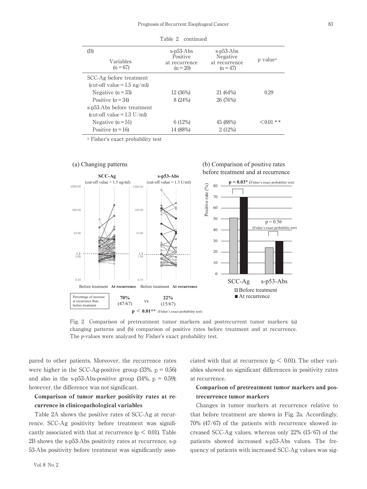| (B)<br>Variables<br>$(n = 67)$         | s-p53-Abs<br>Positive<br>at recurrence<br>$(n = 20)$ | $s-p53-Abs$<br>Negative<br>at recurrence<br>$(n = 47)$ | p value <sup>a</sup> |
|----------------------------------------|------------------------------------------------------|--------------------------------------------------------|----------------------|
| SCC-Ag before treatment                |                                                      |                                                        |                      |
| (cut-off value = $1.5 \text{ ng/ml}$ ) |                                                      |                                                        |                      |
| Negative $(n=33)$                      | 12 (36%)                                             | 21 (64%)                                               | 0.29                 |
| Positive $(n = 34)$                    | 8 (24%)                                              | 26 (76%)                                               |                      |
| s-p53-Abs before treatment             |                                                      |                                                        |                      |
| (cut-off value = $1.3$ U/ml)           |                                                      |                                                        |                      |
| Negative $(n=51)$                      | 6(12%)                                               | 45 (88%)                                               | $0.01**$             |
| Positive $(n = 16)$                    | 14 (88%)                                             | 2(12%)                                                 |                      |

Table 2 continued

a Fisher's exact probability test



Fig. 2 Comparison of pretreatment tumor markers and postrecurrent tumor markers: (a) changing patterns and (b) comparison of positive rates before treatment and at recurrence. The *p*-values were analyzed by Fisher's exact probability test.

pared to other patients. Moreover, the recurrence rates were higher in the SCC-Ag-positive group  $(33\%, p = 0.56)$ and also in the s-p53-Abs-positive group  $(34\%, p = 0.59)$ ; however, the difference was not significant.

#### Comparison of tumor marker positivity rates at recurrence in clinicopathological variables

Table 2A shows the positive rates of SCC-Ag at recurrence. SCC-Ag positivity before treatment was significantly associated with that at recurrence ( $p < 0.01$ ). Table 2B shows the s-p53-Abs positivity rates at recurrence. s-p 53-Abs positivity before treatment was significantly associated with that at recurrence ( $p \leq 0.01$ ). The other variables showed no significant differences in positivity rates at recurrence.

#### Comparison of pretreatment tumor markers and postrecurrence tumor markers

Changes in tumor markers at recurrence relative to that before treatment are shown in Fig. 2a. Accordingly, 70% (47/67) of the patients with recurrence showed increased SCC-Ag values, whereas only 22% (15/67) of the patients showed increased s-p53-Abs values. The frequency of patients with increased SCC-Ag values was sig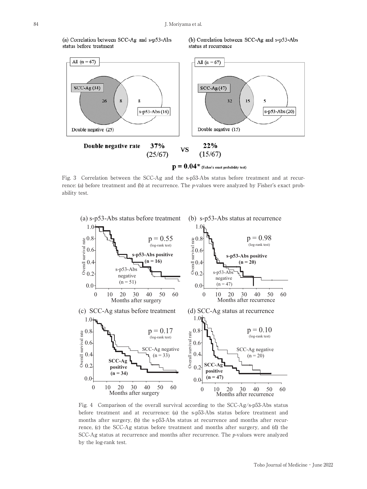(a) Correlation between SCC-Ag and s-p53-Abs status before treatment

(b) Correlation between SCC-Ag and s-p53-Abs status at recurrence



Fig. 3 Correlation between the SCC-Ag and the s-p53-Abs status before treatment and at recurrence: (a) before treatment and (b) at recurrence. The *p*-values were analyzed by Fisher's exact probability test.



Fig. 4 Comparison of the overall survival according to the SCC-Ag/s-p53-Abs status before treatment and at recurrence: (a) the s-p53-Abs status before treatment and months after surgery, (b) the s-p53-Abs status at recurrence and months after recurrence, (c) the SCC-Ag status before treatment and months after surgery, and (d) the SCC-Ag status at recurrence and months after recurrence. The *p*-values were analyzed by the log-rank test.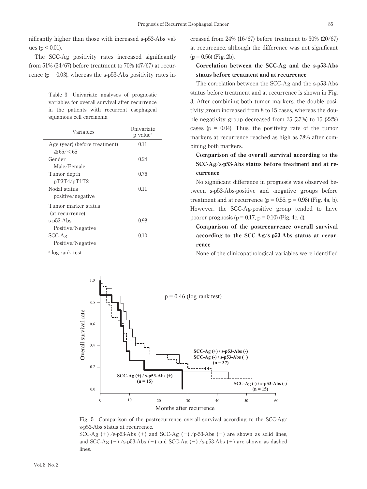nificantly higher than those with increased s-p53-Abs values ( $p < 0.01$ ).

The SCC-Ag positivity rates increased significantly from 51% (34/67) before treatment to 70% (47/67) at recurrence ( $p = 0.03$ ), whereas the s-p53-Abs positivity rates in-

Table 3 Univariate analyses of prognostic variables for overall survival after recurrence in the patients with recurrent esophageal squamous cell carcinoma

| Variables                     | Univariate<br>p value <sup>a</sup> |
|-------------------------------|------------------------------------|
| Age (year) (before treatment) | 0.11                               |
| $\geq 65 / < 65$              |                                    |
| Gender                        | 0.24                               |
| Male/Female                   |                                    |
| Tumor depth                   | 0.76                               |
| pT3T4/pT1T2                   |                                    |
| Nodal status                  | 0.11                               |
| positive/negative             |                                    |
| Tumor marker status           |                                    |
| (at recurrence)               |                                    |
| s-p53-Abs                     | 0.98                               |
| Positive/Negative             |                                    |
| $SCC-Ag$                      | 0.10                               |
| Positive/Negative             |                                    |

a log-rank test

creased from 24% (16/67) before treatment to 30% (20/67) at recurrence, although the difference was not significant  $(p = 0.56)$  (Fig. 2b).

#### Correlation between the SCC-Ag and the s-p53-Abs status before treatment and at recurrence

The correlation between the SCC-Ag and the s-p53-Abs status before treatment and at recurrence is shown in Fig. 3. After combining both tumor markers, the double positivity group increased from 8 to 15 cases, whereas the double negativity group decreased from 25 (37%) to 15 (22%) cases ( $p = 0.04$ ). Thus, the positivity rate of the tumor markers at recurrence reached as high as 78% after combining both markers.

### Comparison of the overall survival according to the SCC-Ag/s-p53-Abs status before treatment and at recurrence

No significant difference in prognosis was observed between s-p53-Abs-positive and -negative groups before treatment and at recurrence  $(p = 0.55, p = 0.98)$  (Fig. 4a, b). However, the SCC-Ag-positive group tended to have poorer prognosis ( $p = 0.17$ ,  $p = 0.10$ ) (Fig. 4c, d).

Comparison of the postrecurrence overall survival according to the SCC-Ag/s-p53-Abs status at recurrence

None of the clinicopathological variables were identified



Fig. 5 Comparison of the postrecurrence overall survival according to the SCC-Ag/ s-p53-Abs status at recurrence.

SCC-Ag  $(+)$  /s-p53-Abs  $(+)$  and SCC-Ag  $(-)$  /p-53-Abs  $(-)$  are shown as solid lines, and SCC-Ag  $(+)$ /s-p53-Abs  $(-)$  and SCC-Ag  $(-)$ /s-p53-Abs  $(+)$  are shown as dashed lines.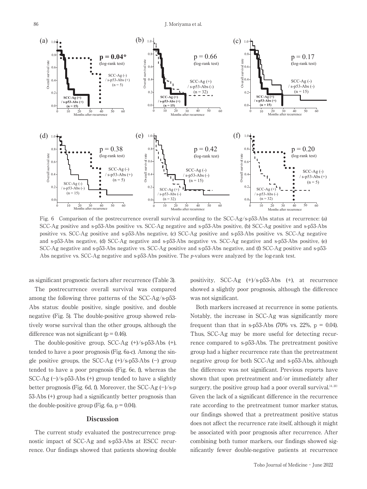

Fig. 6 Comparison of the postrecurrence overall survival according to the SCC-Ag/s-p53-Abs status at recurrence: (a) SCC-Ag positive and s-p53-Abs positive vs. SCC-Ag negative and s-p53-Abs positive, (b) SCC-Ag positive and s-p53-Abs positive vs. SCC-Ag positive and s-p53-Abs negative, (c) SCC-Ag positive and s-p53-Abs positive vs. SCC-Ag negative and s-p53-Abs negative, (d) SCC-Ag negative and s-p53-Abs negative vs. SCC-Ag negative and s-p53-Abs positive, (e) SCC-Ag negative and s-p53-Abs negative vs. SCC-Ag positive and s-p53-Abs negative, and (f) SCC-Ag positive and s-p53- Abs negative vs. SCC-Ag negative and s-p53-Abs positive. The *p*-values were analyzed by the log-rank test.

as significant prognostic factors after recurrence (Table 3).

The postrecurrence overall survival was compared among the following three patterns of the SCC-Ag/s-p53- Abs status: double positive, single positive, and double negative (Fig. 5). The double-positive group showed relatively worse survival than the other groups, although the difference was not significant ( $p = 0.46$ ).

The double-positive group, SCC-Ag (+)/s-p53-Abs (+), tended to have a poor prognosis (Fig. 6a-c). Among the single positive groups, the SCC-Ag  $(+)/s$ -p53-Abs  $(-)$  group tended to have a poor prognosis (Fig. 6e, f), whereas the SCC-Ag  $(-)/s$ -p53-Abs  $(+)$  group tended to have a slightly better prognosis (Fig. 6d, f). Moreover, the SCC-Ag  $(-)/s$ -p 53-Abs (+) group had a significantly better prognosis than the double-positive group (Fig. 6a,  $p = 0.04$ ).

#### **Discussion**

The current study evaluated the postrecurrence prognostic impact of SCC-Ag and s-p53-Abs at ESCC recurrence. Our findings showed that patients showing double

positivity, SCC-Ag (+)/s-p53-Abs (+), at recurrence showed a slightly poor prognosis, although the difference was not significant.

Both markers increased at recurrence in some patients. Notably, the increase in SCC-Ag was significantly more frequent than that in s-p53-Abs (70% vs. 22%,  $p = 0.04$ ). Thus, SCC-Ag may be more useful for detecting recurrence compared to s-p53-Abs. The pretreatment positive group had a higher recurrence rate than the pretreatment negative group for both SCC-Ag and s-p53-Abs, although the difference was not significant. Previous reports have shown that upon pretreatment and/or immediately after surgery, the positive group had a poor overall survival.<sup>14, 20)</sup> Given the lack of a significant difference in the recurrence rate according to the pretreatment tumor marker status, our findings showed that a pretreatment positive status does not affect the recurrence rate itself, although it might be associated with poor prognosis after recurrence. After combining both tumor markers, our findings showed significantly fewer double-negative patients at recurrence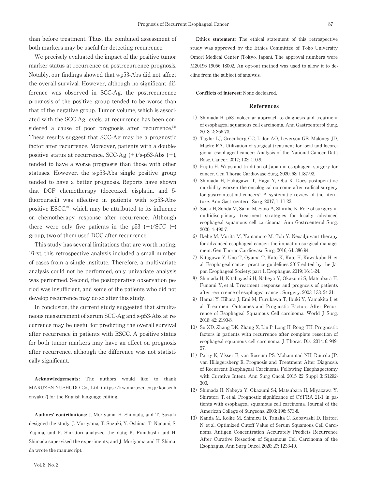than before treatment. Thus, the combined assessment of both markers may be useful for detecting recurrence.

We precisely evaluated the impact of the positive tumor marker status at recurrence on postrecurrence prognosis. Notably, our findings showed that s-p53-Abs did not affect the overall survival. However, although no significant difference was observed in SCC-Ag, the postrecurrence prognosis of the positive group tended to be worse than that of the negative group. Tumor volume, which is associated with the SCC-Ag levels, at recurrence has been considered a cause of poor prognosis after recurrence.<sup>13)</sup> These results suggest that SCC-Ag may be a prognostic factor after recurrence. Moreover, patients with a doublepositive status at recurrence, SCC-Ag  $(+)/s$ -p53-Abs  $(+)$ , tended to have a worse prognosis than those with other statuses. However, the s-p53-Abs single positive group tended to have a better prognosis. Reports have shown that DCF chemotherapy (docetaxel, cisplatin, and 5 fluorouracil) was effective in patients with s-p53-Abspositive  $\text{ESCC}^{21}$ , which may be attributed to its influence on chemotherapy response after recurrence. Although there were only five patients in the  $p53 (+)/SCC (-)$ group, two of them used DOC after recurrence.

This study has several limitations that are worth noting. First, this retrospective analysis included a small number of cases from a single institute. Therefore, a multivariate analysis could not be performed, only univariate analysis was performed. Second, the postoperative observation period was insufficient, and some of the patients who did not develop recurrence may do so after this study.

In conclusion, the current study suggested that simultaneous measurement of serum SCC-Ag and s-p53-Abs at recurrence may be useful for predicting the overall survival after recurrence in patients with ESCC. A positive status for both tumor markers may have an effect on prognosis after recurrence, although the difference was not statistically significant.

Acknowledgements: The authors would like to thank MARUZEN-YUSHODO Co., Ltd. (https://kw.maruzen.co.jp/kousei-h onyaku/) for the English language editing.

Authors' contributions: J. Moriyama, H. Shimada, and T. Suzuki designed the study; J. Moriyama, T. Suzuki, Y. Oshima, T. Nanami, S. Yajima, and F. Shiratori analyzed the data; K. Funahashi and H. Shimada supervised the experiments; and J. Moriyama and H. Shimada wrote the manuscript.

Ethics statement: The ethical statement of this retrospective study was approved by the Ethics Committee of Toho University Omori Medical Center (Tokyo, Japan). The approval numbers were M20196 19056 18002. An opt-out method was used to allow it to decline from the subject of analysis.

#### Conflicts of interest: None decleared.

#### References

- 1) Shimada H. p53 molecular approach to diagnosis and treatment of esophageal squamous cell carcinoma. Ann Gastroenterol Surg. 2018; 2: 266-73.
- 2) Taylor LJ, Greenberg CC, Lidor AO, Leverson GE, Maloney JD, Macke RA. Utilization of surgical treatment for local and locoregional esophageal cancer: Analysis of the National Cancer Data Base. Cancer. 2017; 123: 410-9.
- 3)Fujita H. Ways and tradition of Japan in esophageal surgery for cancer. Gen Thorac Cardiovasc Surg. 2020; 68: 1187-92.
- 4) Shimada H, Fukagawa T, Haga Y, Oba K. Does postoperative morbidity worsen the oncological outcome after radical surgery for gastrointestinal cancers? A systematic review of the literature. Ann Gastroenterol Surg. 2017; 1: 11-23.
- 5) Saeki H, Sohda M, Sakai M, Sano A, Shirabe K. Role of surgery in multidisciplinary treatment strategies for locally advanced esophageal squamous cell carcinoma. Ann Gastroenterol Surg. 2020; 4: 490-7.
- 6) Ikebe M, Morita M, Yamamoto M, Toh Y. Neoadjuvant therapy for advanced esophageal cancer: the impact on surgical management. Gen Thorac Cardiovasc Surg. 2016; 64: 386-94.
- 7) Kitagawa Y, Uno T, Oyama T, Kato K, Kato H, Kawakubo H, et al. Esophageal cancer practice guidelines 2017 edited by the Japan Esophageal Society: part 1. Esophagus. 2019; 16: 1-24.
- 8) Shimada H, Kitabayashi H, Nabeya Y, Okazumi S, Matsubara H, Funami Y, et al. Treatment response and prognosis of patients after recurrence of esophageal cancer. Surgery. 2003; 133: 24-31.
- 9) Hamai Y, Hihara J, Emi M, Furukawa T, Ibuki Y, Yamakita I, et al. Treatment Outcomes and Prognostic Factors After Recurrence of Esophageal Squamous Cell carcinoma. World J Surg. 2018; 42: 2190-8.
- 10) Su XD, Zhang DK, Zhang X, Lin P, Long H, Rong TH. Prognostic factors in patients with recurrence after complete resection of esophageal squamous cell carcinoma. J Thorac Dis. 2014; 6: 949- 57.
- 11)Parry K, Visser E, van Rossum PS, Mohammad NH, Ruurda JP, van Hillegersberg R. Prognosis and Treatment After Diagnosis of Recurrent Esophageal Carcinoma Following Esophagectomy with Curative Intent. Ann Surg Oncol. 2015; 22 Suppl 3: S1292- 300.
- 12) Shimada H, Nabeya Y, Okazumi S-i, Matsubara H, Miyazawa Y, Shiratori T, et al. Prognostic significance of CYFRA 21-1 in patients with esophageal squamous cell carcinoma. Journal of the American College of Surgeons. 2003; 196: 573-8.
- 13) Kanda M, Koike M, Shimizu D, Tanaka C, Kobayashi D, Hattori N, et al. Optimized Cutoff Value of Serum Squamous Cell Carcinoma Antigen Concentration Accurately Predicts Recurrence After Curative Resection of Squamous Cell Carcinoma of the Esophagus. Ann Surg Oncol. 2020; 27: 1233-40.